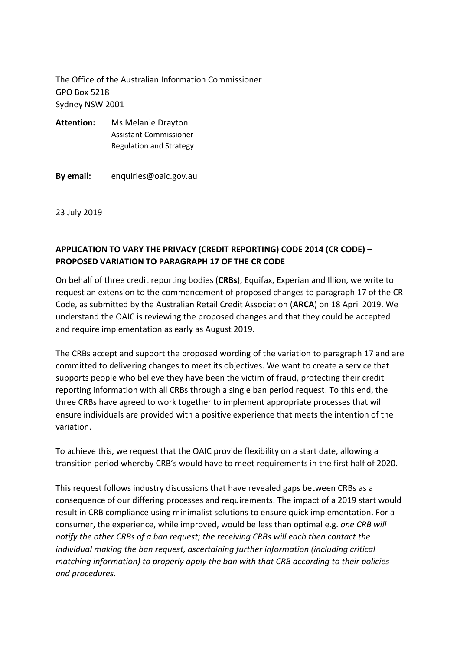The Office of the Australian Information Commissioner GPO Box 5218 Sydney NSW 2001

- **Attention:** Ms Melanie Drayton Assistant Commissioner Regulation and Strategy
- **By email:** enquiries@oaic.gov.au

23 July 2019

## **APPLICATION TO VARY THE PRIVACY (CREDIT REPORTING) CODE 2014 (CR CODE) – PROPOSED VARIATION TO PARAGRAPH 17 OF THE CR CODE**

On behalf of three credit reporting bodies (**CRBs**), Equifax, Experian and Illion, we write to request an extension to the commencement of proposed changes to paragraph 17 of the CR Code, as submitted by the Australian Retail Credit Association (**ARCA**) on 18 April 2019. We understand the OAIC is reviewing the proposed changes and that they could be accepted and require implementation as early as August 2019.

The CRBs accept and support the proposed wording of the variation to paragraph 17 and are committed to delivering changes to meet its objectives. We want to create a service that supports people who believe they have been the victim of fraud, protecting their credit reporting information with all CRBs through a single ban period request. To this end, the three CRBs have agreed to work together to implement appropriate processes that will ensure individuals are provided with a positive experience that meets the intention of the variation.

To achieve this, we request that the OAIC provide flexibility on a start date, allowing a transition period whereby CRB's would have to meet requirements in the first half of 2020.

This request follows industry discussions that have revealed gaps between CRBs as a consequence of our differing processes and requirements. The impact of a 2019 start would result in CRB compliance using minimalist solutions to ensure quick implementation. For a consumer, the experience, while improved, would be less than optimal e.g. *one CRB will notify the other CRBs of a ban request; the receiving CRBs will each then contact the individual making the ban request, ascertaining further information (including critical matching information) to properly apply the ban with that CRB according to their policies and procedures.*